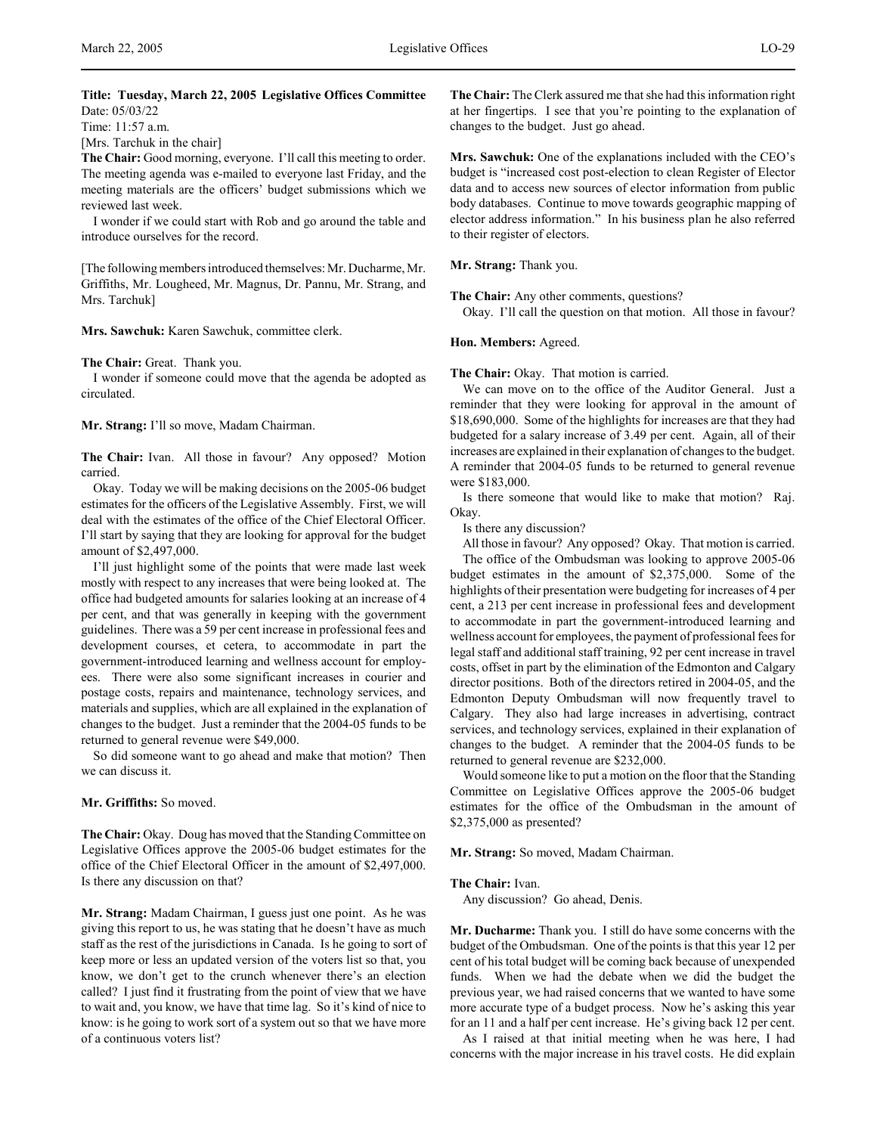# **Title: Tuesday, March 22, 2005 Legislative Offices Committee** Date: 05/03/22

Time: 11:57 a.m.

[Mrs. Tarchuk in the chair]

**The Chair:** Good morning, everyone. I'll call this meeting to order. The meeting agenda was e-mailed to everyone last Friday, and the meeting materials are the officers' budget submissions which we reviewed last week.

I wonder if we could start with Rob and go around the table and introduce ourselves for the record.

[The following members introduced themselves: Mr. Ducharme, Mr. Griffiths, Mr. Lougheed, Mr. Magnus, Dr. Pannu, Mr. Strang, and Mrs. Tarchuk]

**Mrs. Sawchuk:** Karen Sawchuk, committee clerk.

**The Chair:** Great. Thank you.

I wonder if someone could move that the agenda be adopted as circulated.

**Mr. Strang:** I'll so move, Madam Chairman.

**The Chair:** Ivan. All those in favour? Any opposed? Motion carried.

Okay. Today we will be making decisions on the 2005-06 budget estimates for the officers of the Legislative Assembly. First, we will deal with the estimates of the office of the Chief Electoral Officer. I'll start by saying that they are looking for approval for the budget amount of \$2,497,000.

I'll just highlight some of the points that were made last week mostly with respect to any increases that were being looked at. The office had budgeted amounts for salaries looking at an increase of 4 per cent, and that was generally in keeping with the government guidelines. There was a 59 per cent increase in professional fees and development courses, et cetera, to accommodate in part the government-introduced learning and wellness account for employees. There were also some significant increases in courier and postage costs, repairs and maintenance, technology services, and materials and supplies, which are all explained in the explanation of changes to the budget. Just a reminder that the 2004-05 funds to be returned to general revenue were \$49,000.

So did someone want to go ahead and make that motion? Then we can discuss it.

**Mr. Griffiths:** So moved.

**The Chair:** Okay. Doug has moved that the Standing Committee on Legislative Offices approve the 2005-06 budget estimates for the office of the Chief Electoral Officer in the amount of \$2,497,000. Is there any discussion on that?

**Mr. Strang:** Madam Chairman, I guess just one point. As he was giving this report to us, he was stating that he doesn't have as much staff as the rest of the jurisdictions in Canada. Is he going to sort of keep more or less an updated version of the voters list so that, you know, we don't get to the crunch whenever there's an election called? I just find it frustrating from the point of view that we have to wait and, you know, we have that time lag. So it's kind of nice to know: is he going to work sort of a system out so that we have more of a continuous voters list?

**The Chair:** The Clerk assured me that she had this information right at her fingertips. I see that you're pointing to the explanation of changes to the budget. Just go ahead.

**Mrs. Sawchuk:** One of the explanations included with the CEO's budget is "increased cost post-election to clean Register of Elector data and to access new sources of elector information from public body databases. Continue to move towards geographic mapping of elector address information." In his business plan he also referred to their register of electors.

**Mr. Strang:** Thank you.

**The Chair:** Any other comments, questions?

Okay. I'll call the question on that motion. All those in favour?

#### **Hon. Members:** Agreed.

**The Chair:** Okay. That motion is carried.

We can move on to the office of the Auditor General. Just a reminder that they were looking for approval in the amount of \$18,690,000. Some of the highlights for increases are that they had budgeted for a salary increase of 3.49 per cent. Again, all of their increases are explained in their explanation of changes to the budget. A reminder that 2004-05 funds to be returned to general revenue were \$183,000.

Is there someone that would like to make that motion? Raj. Okay.

Is there any discussion?

All those in favour? Any opposed? Okay. That motion is carried. The office of the Ombudsman was looking to approve 2005-06 budget estimates in the amount of \$2,375,000. Some of the highlights of their presentation were budgeting for increases of 4 per cent, a 213 per cent increase in professional fees and development to accommodate in part the government-introduced learning and wellness account for employees, the payment of professional fees for legal staff and additional staff training, 92 per cent increase in travel costs, offset in part by the elimination of the Edmonton and Calgary director positions. Both of the directors retired in 2004-05, and the Edmonton Deputy Ombudsman will now frequently travel to Calgary. They also had large increases in advertising, contract services, and technology services, explained in their explanation of changes to the budget. A reminder that the 2004-05 funds to be returned to general revenue are \$232,000.

Would someone like to put a motion on the floor that the Standing Committee on Legislative Offices approve the 2005-06 budget estimates for the office of the Ombudsman in the amount of \$2,375,000 as presented?

**Mr. Strang:** So moved, Madam Chairman.

## **The Chair:** Ivan.

Any discussion? Go ahead, Denis.

**Mr. Ducharme:** Thank you. I still do have some concerns with the budget of the Ombudsman. One of the points is that this year 12 per cent of his total budget will be coming back because of unexpended funds. When we had the debate when we did the budget the previous year, we had raised concerns that we wanted to have some more accurate type of a budget process. Now he's asking this year for an 11 and a half per cent increase. He's giving back 12 per cent.

As I raised at that initial meeting when he was here, I had concerns with the major increase in his travel costs. He did explain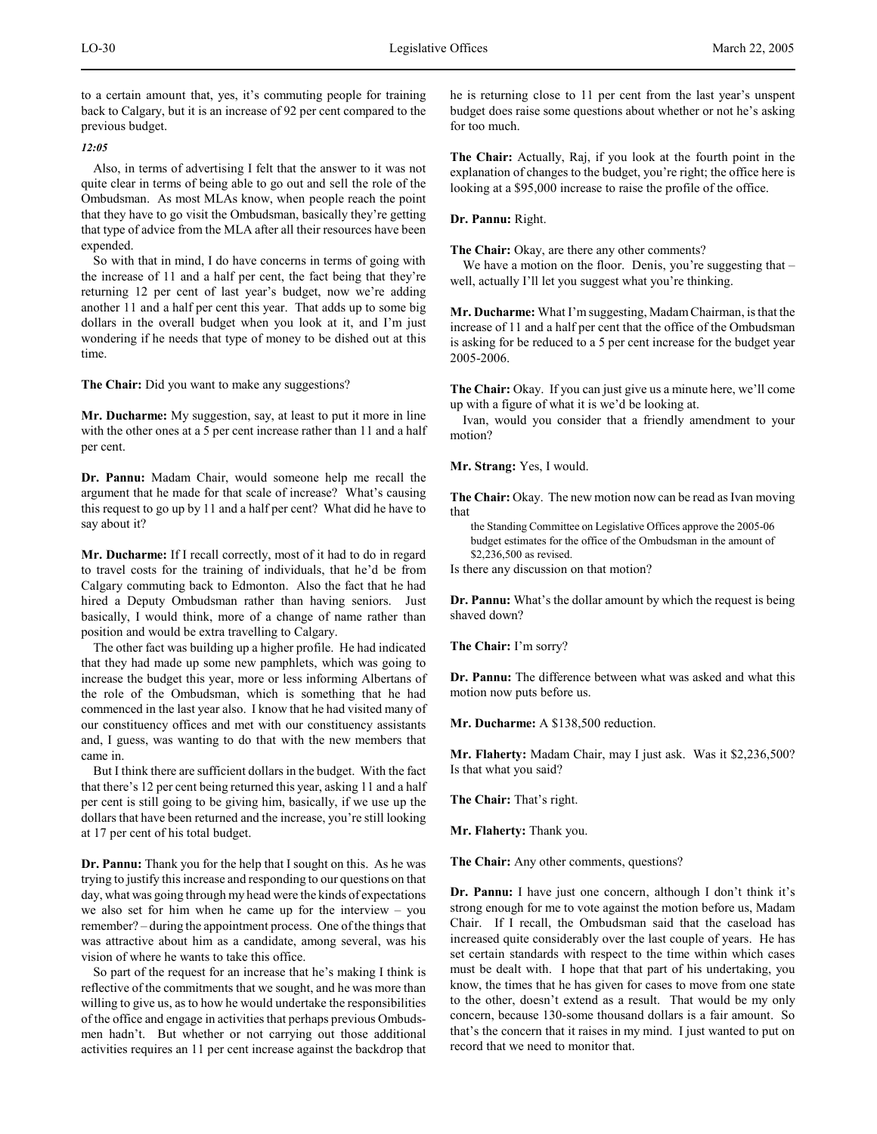to a certain amount that, yes, it's commuting people for training back to Calgary, but it is an increase of 92 per cent compared to the previous budget.

*12:05*

Also, in terms of advertising I felt that the answer to it was not quite clear in terms of being able to go out and sell the role of the Ombudsman. As most MLAs know, when people reach the point that they have to go visit the Ombudsman, basically they're getting that type of advice from the MLA after all their resources have been expended.

So with that in mind, I do have concerns in terms of going with the increase of 11 and a half per cent, the fact being that they're returning 12 per cent of last year's budget, now we're adding another 11 and a half per cent this year. That adds up to some big dollars in the overall budget when you look at it, and I'm just wondering if he needs that type of money to be dished out at this time.

**The Chair:** Did you want to make any suggestions?

**Mr. Ducharme:** My suggestion, say, at least to put it more in line with the other ones at a 5 per cent increase rather than 11 and a half per cent.

**Dr. Pannu:** Madam Chair, would someone help me recall the argument that he made for that scale of increase? What's causing this request to go up by 11 and a half per cent? What did he have to say about it?

**Mr. Ducharme:** If I recall correctly, most of it had to do in regard to travel costs for the training of individuals, that he'd be from Calgary commuting back to Edmonton. Also the fact that he had hired a Deputy Ombudsman rather than having seniors. Just basically, I would think, more of a change of name rather than position and would be extra travelling to Calgary.

The other fact was building up a higher profile. He had indicated that they had made up some new pamphlets, which was going to increase the budget this year, more or less informing Albertans of the role of the Ombudsman, which is something that he had commenced in the last year also. I know that he had visited many of our constituency offices and met with our constituency assistants and, I guess, was wanting to do that with the new members that came in.

But I think there are sufficient dollars in the budget. With the fact that there's 12 per cent being returned this year, asking 11 and a half per cent is still going to be giving him, basically, if we use up the dollars that have been returned and the increase, you're still looking at 17 per cent of his total budget.

**Dr. Pannu:** Thank you for the help that I sought on this. As he was trying to justify this increase and responding to our questions on that day, what was going through my head were the kinds of expectations we also set for him when he came up for the interview – you remember? – during the appointment process. One of the things that was attractive about him as a candidate, among several, was his vision of where he wants to take this office.

So part of the request for an increase that he's making I think is reflective of the commitments that we sought, and he was more than willing to give us, as to how he would undertake the responsibilities of the office and engage in activities that perhaps previous Ombudsmen hadn't. But whether or not carrying out those additional activities requires an 11 per cent increase against the backdrop that

he is returning close to 11 per cent from the last year's unspent budget does raise some questions about whether or not he's asking for too much.

**The Chair:** Actually, Raj, if you look at the fourth point in the explanation of changes to the budget, you're right; the office here is looking at a \$95,000 increase to raise the profile of the office.

**Dr. Pannu:** Right.

**The Chair:** Okay, are there any other comments?

We have a motion on the floor. Denis, you're suggesting that well, actually I'll let you suggest what you're thinking.

**Mr. Ducharme:** What I'm suggesting, Madam Chairman, is that the increase of 11 and a half per cent that the office of the Ombudsman is asking for be reduced to a 5 per cent increase for the budget year 2005-2006.

**The Chair:** Okay. If you can just give us a minute here, we'll come up with a figure of what it is we'd be looking at.

Ivan, would you consider that a friendly amendment to your motion?

**Mr. Strang:** Yes, I would.

**The Chair:** Okay. The new motion now can be read as Ivan moving that

the Standing Committee on Legislative Offices approve the 2005-06 budget estimates for the office of the Ombudsman in the amount of \$2,236,500 as revised.

Is there any discussion on that motion?

**Dr. Pannu:** What's the dollar amount by which the request is being shaved down?

**The Chair:** I'm sorry?

**Dr. Pannu:** The difference between what was asked and what this motion now puts before us.

**Mr. Ducharme:** A \$138,500 reduction.

**Mr. Flaherty:** Madam Chair, may I just ask. Was it \$2,236,500? Is that what you said?

**The Chair:** That's right.

**Mr. Flaherty:** Thank you.

**The Chair:** Any other comments, questions?

**Dr. Pannu:** I have just one concern, although I don't think it's strong enough for me to vote against the motion before us, Madam Chair. If I recall, the Ombudsman said that the caseload has increased quite considerably over the last couple of years. He has set certain standards with respect to the time within which cases must be dealt with. I hope that that part of his undertaking, you know, the times that he has given for cases to move from one state to the other, doesn't extend as a result. That would be my only concern, because 130-some thousand dollars is a fair amount. So that's the concern that it raises in my mind. I just wanted to put on record that we need to monitor that.